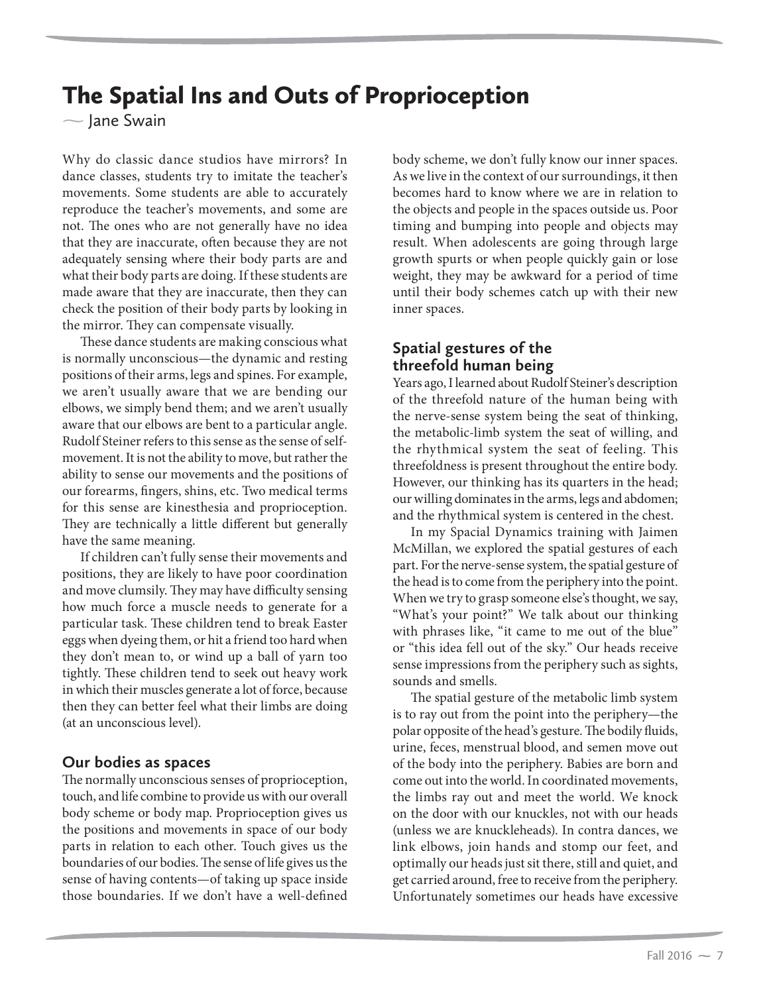# The Spatial Ins and Outs of Proprioception

 $\sim$  Jane Swain

Why do classic dance studios have mirrors? In dance classes, students try to imitate the teacher's movements. Some students are able to accurately reproduce the teacher's movements, and some are not. The ones who are not generally have no idea that they are inaccurate, often because they are not adequately sensing where their body parts are and what their body parts are doing. If these students are made aware that they are inaccurate, then they can check the position of their body parts by looking in the mirror. They can compensate visually.

These dance students are making conscious what is normally unconscious—the dynamic and resting positions of their arms, legs and spines. For example, we aren't usually aware that we are bending our elbows, we simply bend them; and we aren't usually aware that our elbows are bent to a particular angle. Rudolf Steiner refers to this sense as the sense of selfmovement. It is not the ability to move, but rather the ability to sense our movements and the positions of our forearms, fingers, shins, etc. Two medical terms for this sense are kinesthesia and proprioception. They are technically a little different but generally have the same meaning.

If children can't fully sense their movements and positions, they are likely to have poor coordination and move clumsily. They may have difficulty sensing how much force a muscle needs to generate for a particular task. These children tend to break Easter eggs when dyeing them, or hit a friend too hard when they don't mean to, or wind up a ball of yarn too tightly. These children tend to seek out heavy work in which their muscles generate a lot of force, because then they can better feel what their limbs are doing (at an unconscious level).

## **Our bodies as spaces**

The normally unconscious senses of proprioception, touch, and life combine to provide us with our overall body scheme or body map. Proprioception gives us the positions and movements in space of our body parts in relation to each other. Touch gives us the boundaries of our bodies. The sense of life gives us the sense of having contents—of taking up space inside those boundaries. If we don't have a well-defined

body scheme, we don't fully know our inner spaces. As we live in the context of our surroundings, it then becomes hard to know where we are in relation to the objects and people in the spaces outside us. Poor timing and bumping into people and objects may result. When adolescents are going through large growth spurts or when people quickly gain or lose weight, they may be awkward for a period of time until their body schemes catch up with their new inner spaces.

## **Spatial gestures of the threefold human being**

Years ago, I learned about Rudolf Steiner's description of the threefold nature of the human being with the nerve-sense system being the seat of thinking, the metabolic-limb system the seat of willing, and the rhythmical system the seat of feeling. This threefoldness is present throughout the entire body. However, our thinking has its quarters in the head; our willing dominates in the arms, legs and abdomen; and the rhythmical system is centered in the chest.

In my Spacial Dynamics training with Jaimen McMillan, we explored the spatial gestures of each part. For the nerve-sense system, the spatial gesture of the head is to come from the periphery into the point. When we try to grasp someone else's thought, we say, "What's your point?" We talk about our thinking with phrases like, "it came to me out of the blue" or "this idea fell out of the sky." Our heads receive sense impressions from the periphery such as sights, sounds and smells.

The spatial gesture of the metabolic limb system is to ray out from the point into the periphery—the polar opposite of the head's gesture. The bodily fluids, urine, feces, menstrual blood, and semen move out of the body into the periphery. Babies are born and come out into the world. In coordinated movements, the limbs ray out and meet the world. We knock on the door with our knuckles, not with our heads (unless we are knuckleheads). In contra dances, we link elbows, join hands and stomp our feet, and optimally our heads just sit there, still and quiet, and get carried around, free to receive from the periphery. Unfortunately sometimes our heads have excessive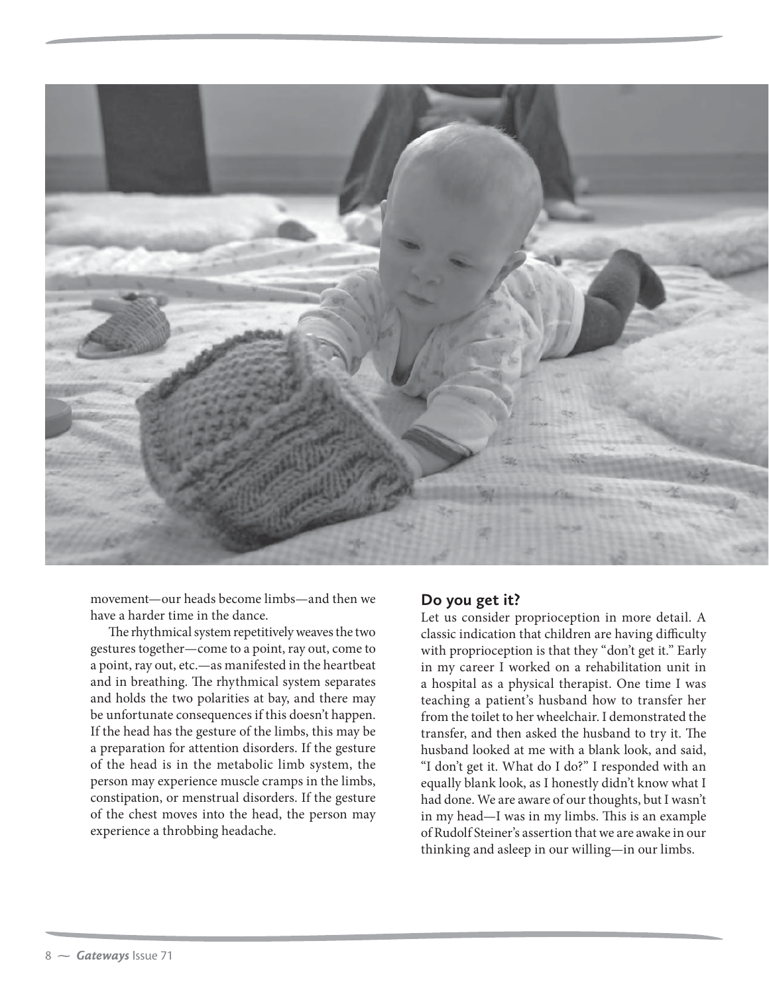

movement—our heads become limbs—and then we have a harder time in the dance.

The rhythmical system repetitively weaves the two gestures together—come to a point, ray out, come to a point, ray out, etc.—as manifested in the heartbeat and in breathing. The rhythmical system separates and holds the two polarities at bay, and there may be unfortunate consequences if this doesn't happen. If the head has the gesture of the limbs, this may be a preparation for attention disorders. If the gesture of the head is in the metabolic limb system, the person may experience muscle cramps in the limbs, constipation, or menstrual disorders. If the gesture of the chest moves into the head, the person may experience a throbbing headache.

### **Do you get it?**

Let us consider proprioception in more detail. A classic indication that children are having difficulty with proprioception is that they "don't get it." Early in my career I worked on a rehabilitation unit in a hospital as a physical therapist. One time I was teaching a patient's husband how to transfer her from the toilet to her wheelchair. I demonstrated the transfer, and then asked the husband to try it. The husband looked at me with a blank look, and said, "I don't get it. What do I do?" I responded with an equally blank look, as I honestly didn't know what I had done. We are aware of our thoughts, but I wasn't in my head—I was in my limbs. This is an example of Rudolf Steiner's assertion that we are awake in our thinking and asleep in our willing—in our limbs.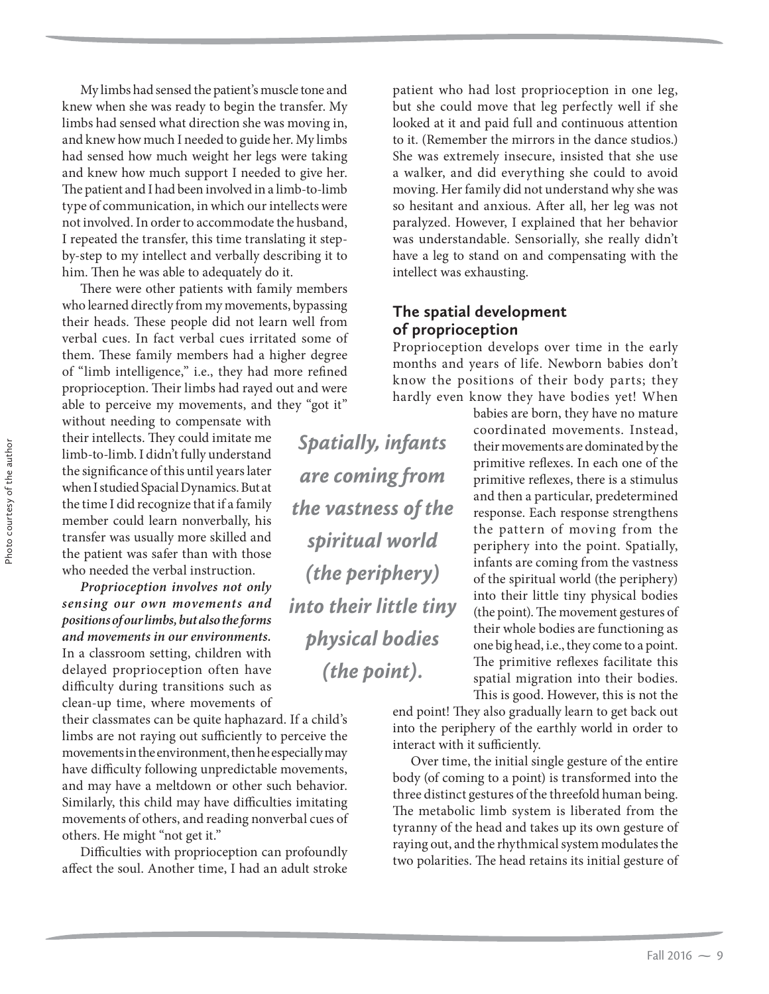My limbs had sensed the patient's muscle tone and knew when she was ready to begin the transfer. My limbs had sensed what direction she was moving in, and knew how much I needed to guide her. My limbs had sensed how much weight her legs were taking and knew how much support I needed to give her. The patient and I had been involved in a limb-to-limb type of communication, in which our intellects were not involved. In order to accommodate the husband, I repeated the transfer, this time translating it stepby-step to my intellect and verbally describing it to him. Then he was able to adequately do it.

There were other patients with family members who learned directly from my movements, bypassing their heads. These people did not learn well from verbal cues. In fact verbal cues irritated some of them. These family members had a higher degree of "limb intelligence," i.e., they had more refined proprioception. Their limbs had rayed out and were able to perceive my movements, and they "got it"

without needing to compensate with their intellects. They could imitate me limb-to-limb. I didn't fully understand the significance of this until years later when I studied Spacial Dynamics. But at the time I did recognize that if a family member could learn nonverbally, his transfer was usually more skilled and the patient was safer than with those who needed the verbal instruction.

*Proprioception involves not only sensing our own movements and positions of our limbs, but also the forms and movements in our environments.*  In a classroom setting, children with delayed proprioception often have difficulty during transitions such as clean-up time, where movements of

their classmates can be quite haphazard. If a child's limbs are not raying out sufficiently to perceive the movements in the environment, then he especially may have difficulty following unpredictable movements, and may have a meltdown or other such behavior. Similarly, this child may have difficulties imitating movements of others, and reading nonverbal cues of others. He might "not get it."

Difficulties with proprioception can profoundly affect the soul. Another time, I had an adult stroke

*Spatially, infants are coming from the vastness of the spiritual world (the periphery) into their little tiny physical bodies (the point).*

patient who had lost proprioception in one leg, but she could move that leg perfectly well if she looked at it and paid full and continuous attention to it. (Remember the mirrors in the dance studios.) She was extremely insecure, insisted that she use a walker, and did everything she could to avoid moving. Her family did not understand why she was so hesitant and anxious. After all, her leg was not paralyzed. However, I explained that her behavior was understandable. Sensorially, she really didn't have a leg to stand on and compensating with the intellect was exhausting.

#### **The spatial development of proprioception**

Proprioception develops over time in the early months and years of life. Newborn babies don't know the positions of their body parts; they hardly even know they have bodies yet! When

babies are born, they have no mature coordinated movements. Instead, their movements are dominated by the primitive reflexes. In each one of the primitive reflexes, there is a stimulus and then a particular, predetermined response. Each response strengthens the pattern of moving from the periphery into the point. Spatially, infants are coming from the vastness of the spiritual world (the periphery) into their little tiny physical bodies (the point). The movement gestures of their whole bodies are functioning as one big head, i.e., they come to a point. The primitive reflexes facilitate this spatial migration into their bodies. This is good. However, this is not the

end point! They also gradually learn to get back out into the periphery of the earthly world in order to interact with it sufficiently.

Over time, the initial single gesture of the entire body (of coming to a point) is transformed into the three distinct gestures of the threefold human being. The metabolic limb system is liberated from the tyranny of the head and takes up its own gesture of raying out, and the rhythmical system modulates the two polarities. The head retains its initial gesture of